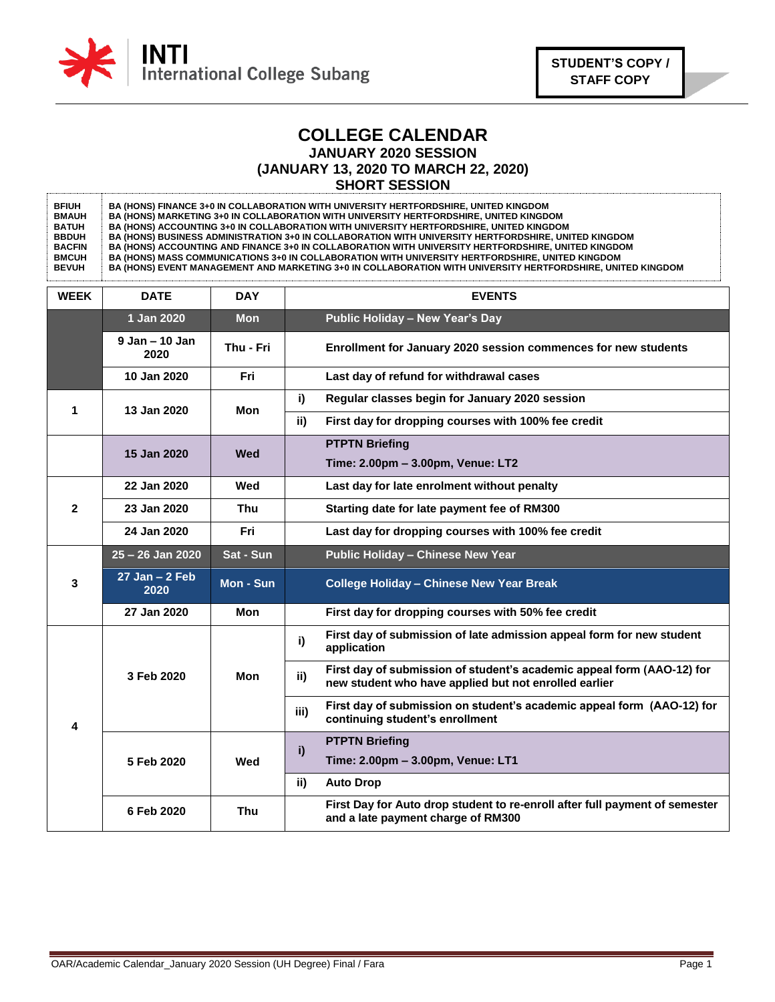

## **COLLEGE CALENDAR JANUARY 2020 SESSION (JANUARY 13, 2020 TO MARCH 22, 2020) SHORT SESSION**

**BFIUH BMAUH BATUH BBDUH BACFIN BMCUH BEVUH BA (HONS) FINANCE 3+0 IN COLLABORATION WITH UNIVERSITY HERTFORDSHIRE, UNITED KINGDOM BA (HONS) MARKETING 3+0 IN COLLABORATION WITH UNIVERSITY HERTFORDSHIRE, UNITED KINGDOM BA (HONS) ACCOUNTING 3+0 IN COLLABORATION WITH UNIVERSITY HERTFORDSHIRE, UNITED KINGDOM BA (HONS) BUSINESS ADMINISTRATION 3+0 IN COLLABORATION WITH UNIVERSITY HERTFORDSHIRE, UNITED KINGDOM BA (HONS) ACCOUNTING AND FINANCE 3+0 IN COLLABORATION WITH UNIVERSITY HERTFORDSHIRE, UNITED KINGDOM BA (HONS) MASS COMMUNICATIONS 3+0 IN COLLABORATION WITH UNIVERSITY HERTFORDSHIRE, UNITED KINGDOM BA (HONS) EVENT MANAGEMENT AND MARKETING 3+0 IN COLLABORATION WITH UNIVERSITY HERTFORDSHIRE, UNITED KINGDOM** 

| <b>WEEK</b>    | <b>DATE</b>                | <b>DAY</b> | <b>EVENTS</b>                                                                                                                          |
|----------------|----------------------------|------------|----------------------------------------------------------------------------------------------------------------------------------------|
|                | 1 Jan 2020                 | <b>Mon</b> | Public Holiday - New Year's Day                                                                                                        |
|                | $9$ Jan $-$ 10 Jan<br>2020 | Thu - Fri  | Enrollment for January 2020 session commences for new students                                                                         |
|                | 10 Jan 2020                | Fri        | Last day of refund for withdrawal cases                                                                                                |
| 1              | 13 Jan 2020                | Mon        | Regular classes begin for January 2020 session<br>i)                                                                                   |
|                |                            |            | ii)<br>First day for dropping courses with 100% fee credit                                                                             |
|                | 15 Jan 2020                | Wed        | <b>PTPTN Briefing</b>                                                                                                                  |
|                |                            |            | Time: 2.00pm - 3.00pm, Venue: LT2                                                                                                      |
| $\overline{2}$ | 22 Jan 2020                | Wed        | Last day for late enrolment without penalty                                                                                            |
|                | 23 Jan 2020                | Thu        | Starting date for late payment fee of RM300                                                                                            |
|                | 24 Jan 2020                | Fri        | Last day for dropping courses with 100% fee credit                                                                                     |
| 3              | $25 - 26$ Jan 2020         | Sat - Sun  | <b>Public Holiday - Chinese New Year</b>                                                                                               |
|                | $27$ Jan $-2$ Feb<br>2020  | Mon - Sun  | <b>College Holiday - Chinese New Year Break</b>                                                                                        |
|                | 27 Jan 2020                | <b>Mon</b> | First day for dropping courses with 50% fee credit                                                                                     |
| 4              | 3 Feb 2020                 | Mon        | First day of submission of late admission appeal form for new student<br>i)<br>application                                             |
|                |                            |            | First day of submission of student's academic appeal form (AAO-12) for<br>ii)<br>new student who have applied but not enrolled earlier |
|                |                            |            | First day of submission on student's academic appeal form (AAO-12) for<br>iii)<br>continuing student's enrollment                      |
|                | 5 Feb 2020                 | Wed        | <b>PTPTN Briefing</b><br>i)                                                                                                            |
|                |                            |            | Time: 2.00pm - 3.00pm, Venue: LT1                                                                                                      |
|                |                            |            | ii)<br><b>Auto Drop</b>                                                                                                                |
|                | 6 Feb 2020                 | <b>Thu</b> | First Day for Auto drop student to re-enroll after full payment of semester<br>and a late payment charge of RM300                      |